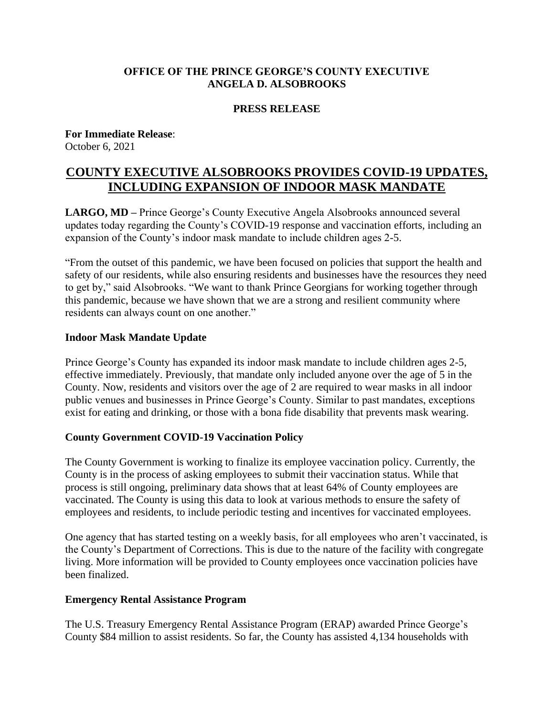### **OFFICE OF THE PRINCE GEORGE'S COUNTY EXECUTIVE ANGELA D. ALSOBROOKS**

#### **PRESS RELEASE**

**For Immediate Release**: October 6, 2021

# **COUNTY EXECUTIVE ALSOBROOKS PROVIDES COVID-19 UPDATES, INCLUDING EXPANSION OF INDOOR MASK MANDATE**

**LARGO, MD –** Prince George's County Executive Angela Alsobrooks announced several updates today regarding the County's COVID-19 response and vaccination efforts, including an expansion of the County's indoor mask mandate to include children ages 2-5.

"From the outset of this pandemic, we have been focused on policies that support the health and safety of our residents, while also ensuring residents and businesses have the resources they need to get by," said Alsobrooks. "We want to thank Prince Georgians for working together through this pandemic, because we have shown that we are a strong and resilient community where residents can always count on one another."

#### **Indoor Mask Mandate Update**

Prince George's County has expanded its indoor mask mandate to include children ages 2-5, effective immediately. Previously, that mandate only included anyone over the age of 5 in the County. Now, residents and visitors over the age of 2 are required to wear masks in all indoor public venues and businesses in Prince George's County. Similar to past mandates, exceptions exist for eating and drinking, or those with a bona fide disability that prevents mask wearing.

#### **County Government COVID-19 Vaccination Policy**

The County Government is working to finalize its employee vaccination policy. Currently, the County is in the process of asking employees to submit their vaccination status. While that process is still ongoing, preliminary data shows that at least 64% of County employees are vaccinated. The County is using this data to look at various methods to ensure the safety of employees and residents, to include periodic testing and incentives for vaccinated employees.

One agency that has started testing on a weekly basis, for all employees who aren't vaccinated, is the County's Department of Corrections. This is due to the nature of the facility with congregate living. More information will be provided to County employees once vaccination policies have been finalized.

#### **Emergency Rental Assistance Program**

The U.S. Treasury Emergency Rental Assistance Program (ERAP) awarded Prince George's County \$84 million to assist residents. So far, the County has assisted 4,134 households with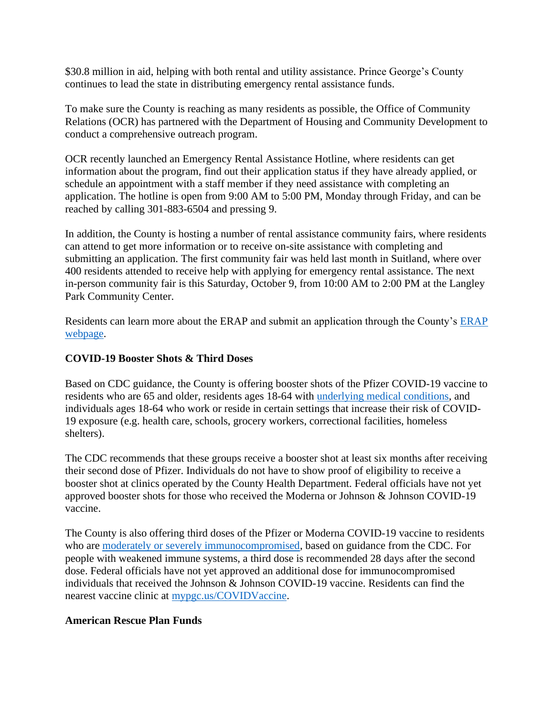\$30.8 million in aid, helping with both rental and utility assistance. Prince George's County continues to lead the state in distributing emergency rental assistance funds.

To make sure the County is reaching as many residents as possible, the Office of Community Relations (OCR) has partnered with the Department of Housing and Community Development to conduct a comprehensive outreach program.

OCR recently launched an Emergency Rental Assistance Hotline, where residents can get information about the program, find out their application status if they have already applied, or schedule an appointment with a staff member if they need assistance with completing an application. The hotline is open from 9:00 AM to 5:00 PM, Monday through Friday, and can be reached by calling 301-883-6504 and pressing 9.

In addition, the County is hosting a number of rental assistance community fairs, where residents can attend to get more information or to receive on-site assistance with completing and submitting an application. The first community fair was held last month in Suitland, where over 400 residents attended to receive help with applying for emergency rental assistance. The next in-person community fair is this Saturday, October 9, from 10:00 AM to 2:00 PM at the Langley Park Community Center.

Residents can learn more about the [ERAP](https://www.princegeorgescountymd.gov/3703/Emergency-Rental-Assistance-Program) and submit an application through the County's ERAP [webpage.](https://www.princegeorgescountymd.gov/3703/Emergency-Rental-Assistance-Program)

## **COVID-19 Booster Shots & Third Doses**

Based on CDC guidance, the County is offering booster shots of the Pfizer COVID-19 vaccine to residents who are 65 and older, residents ages 18-64 with [underlying medical conditions,](https://www.cdc.gov/coronavirus/2019-ncov/need-extra-precautions/people-with-medical-conditions.html) and individuals ages 18-64 who work or reside in certain settings that increase their risk of COVID-19 exposure (e.g. health care, schools, grocery workers, correctional facilities, homeless shelters).

The CDC recommends that these groups receive a booster shot at least six months after receiving their second dose of Pfizer. Individuals do not have to show proof of eligibility to receive a booster shot at clinics operated by the County Health Department. Federal officials have not yet approved booster shots for those who received the Moderna or Johnson & Johnson COVID-19 vaccine.

The County is also offering third doses of the Pfizer or Moderna COVID-19 vaccine to residents who are [moderately or severely immunocompromised,](https://www.cdc.gov/coronavirus/2019-ncov/vaccines/recommendations/immuno.html?) based on guidance from the CDC. For people with weakened immune systems, a third dose is recommended 28 days after the second dose. Federal officials have not yet approved an additional dose for immunocompromised individuals that received the Johnson & Johnson COVID-19 vaccine. Residents can find the nearest vaccine clinic at [mypgc.us/COVIDVaccine.](https://www.princegeorgescountymd.gov/3730/COVID-19-Vaccine)

## **American Rescue Plan Funds**